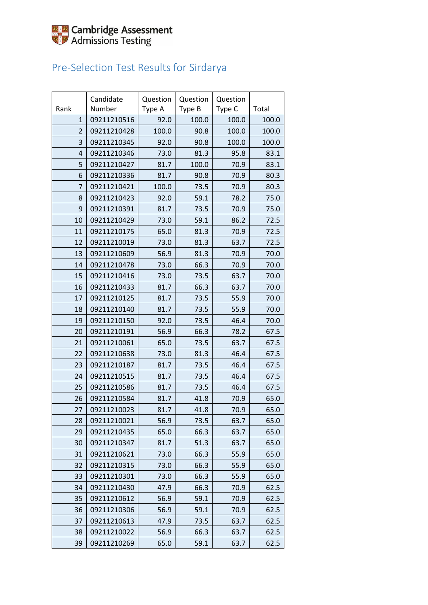

### Pre-Selection Test Results for Sirdarya

|                | Candidate   | Question | Question | Question |       |
|----------------|-------------|----------|----------|----------|-------|
| Rank           | Number      | Type A   | Type B   | Type C   | Total |
| $\mathbf{1}$   | 09211210516 | 92.0     | 100.0    | 100.0    | 100.0 |
| $\overline{2}$ | 09211210428 | 100.0    | 90.8     | 100.0    | 100.0 |
| 3              | 09211210345 | 92.0     | 90.8     | 100.0    | 100.0 |
| $\overline{4}$ | 09211210346 | 73.0     | 81.3     | 95.8     | 83.1  |
| 5              | 09211210427 | 81.7     | 100.0    | 70.9     | 83.1  |
| 6              | 09211210336 | 81.7     | 90.8     | 70.9     | 80.3  |
| 7              | 09211210421 | 100.0    | 73.5     | 70.9     | 80.3  |
| 8              | 09211210423 | 92.0     | 59.1     | 78.2     | 75.0  |
| 9              | 09211210391 | 81.7     | 73.5     | 70.9     | 75.0  |
| 10             | 09211210429 | 73.0     | 59.1     | 86.2     | 72.5  |
| 11             | 09211210175 | 65.0     | 81.3     | 70.9     | 72.5  |
| 12             | 09211210019 | 73.0     | 81.3     | 63.7     | 72.5  |
| 13             | 09211210609 | 56.9     | 81.3     | 70.9     | 70.0  |
| 14             | 09211210478 | 73.0     | 66.3     | 70.9     | 70.0  |
| 15             | 09211210416 | 73.0     | 73.5     | 63.7     | 70.0  |
| 16             | 09211210433 | 81.7     | 66.3     | 63.7     | 70.0  |
| 17             | 09211210125 | 81.7     | 73.5     | 55.9     | 70.0  |
| 18             | 09211210140 | 81.7     | 73.5     | 55.9     | 70.0  |
| 19             | 09211210150 | 92.0     | 73.5     | 46.4     | 70.0  |
| 20             | 09211210191 | 56.9     | 66.3     | 78.2     | 67.5  |
| 21             | 09211210061 | 65.0     | 73.5     | 63.7     | 67.5  |
| 22             | 09211210638 | 73.0     | 81.3     | 46.4     | 67.5  |
| 23             | 09211210187 | 81.7     | 73.5     | 46.4     | 67.5  |
| 24             | 09211210515 | 81.7     | 73.5     | 46.4     | 67.5  |
| 25             | 09211210586 | 81.7     | 73.5     | 46.4     | 67.5  |
| 26             | 09211210584 | 81.7     | 41.8     | 70.9     | 65.0  |
| 27             | 09211210023 | 81.7     | 41.8     | 70.9     | 65.0  |
| 28             | 09211210021 | 56.9     | 73.5     | 63.7     | 65.0  |
| 29             | 09211210435 | 65.0     | 66.3     | 63.7     | 65.0  |
| 30             | 09211210347 | 81.7     | 51.3     | 63.7     | 65.0  |
| 31             | 09211210621 | 73.0     | 66.3     | 55.9     | 65.0  |
| 32             | 09211210315 | 73.0     | 66.3     | 55.9     | 65.0  |
| 33             | 09211210301 | 73.0     | 66.3     | 55.9     | 65.0  |
| 34             | 09211210430 | 47.9     | 66.3     | 70.9     | 62.5  |
| 35             | 09211210612 | 56.9     | 59.1     | 70.9     | 62.5  |
| 36             | 09211210306 | 56.9     | 59.1     | 70.9     | 62.5  |
| 37             | 09211210613 | 47.9     | 73.5     | 63.7     | 62.5  |
| 38             | 09211210022 | 56.9     | 66.3     | 63.7     | 62.5  |
| 39             | 09211210269 | 65.0     | 59.1     | 63.7     | 62.5  |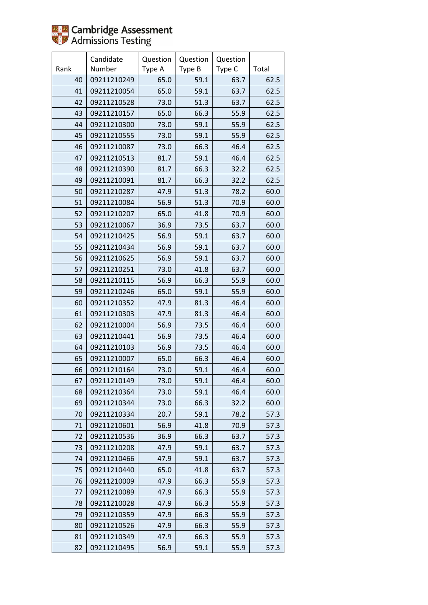

|      | Candidate   | Question | Question | Question |       |
|------|-------------|----------|----------|----------|-------|
| Rank | Number      | Type A   | Type B   | Type C   | Total |
| 40   | 09211210249 | 65.0     | 59.1     | 63.7     | 62.5  |
| 41   | 09211210054 | 65.0     | 59.1     | 63.7     | 62.5  |
| 42   | 09211210528 | 73.0     | 51.3     | 63.7     | 62.5  |
| 43   | 09211210157 | 65.0     | 66.3     | 55.9     | 62.5  |
| 44   | 09211210300 | 73.0     | 59.1     | 55.9     | 62.5  |
| 45   | 09211210555 | 73.0     | 59.1     | 55.9     | 62.5  |
| 46   | 09211210087 | 73.0     | 66.3     | 46.4     | 62.5  |
| 47   | 09211210513 | 81.7     | 59.1     | 46.4     | 62.5  |
| 48   | 09211210390 | 81.7     | 66.3     | 32.2     | 62.5  |
| 49   | 09211210091 | 81.7     | 66.3     | 32.2     | 62.5  |
| 50   | 09211210287 | 47.9     | 51.3     | 78.2     | 60.0  |
| 51   | 09211210084 | 56.9     | 51.3     | 70.9     | 60.0  |
| 52   | 09211210207 | 65.0     | 41.8     | 70.9     | 60.0  |
| 53   | 09211210067 | 36.9     | 73.5     | 63.7     | 60.0  |
| 54   | 09211210425 | 56.9     | 59.1     | 63.7     | 60.0  |
| 55   | 09211210434 | 56.9     | 59.1     | 63.7     | 60.0  |
| 56   | 09211210625 | 56.9     | 59.1     | 63.7     | 60.0  |
| 57   | 09211210251 | 73.0     | 41.8     | 63.7     | 60.0  |
| 58   | 09211210115 | 56.9     | 66.3     | 55.9     | 60.0  |
| 59   | 09211210246 | 65.0     | 59.1     | 55.9     | 60.0  |
| 60   | 09211210352 | 47.9     | 81.3     | 46.4     | 60.0  |
| 61   | 09211210303 | 47.9     | 81.3     | 46.4     | 60.0  |
| 62   | 09211210004 | 56.9     | 73.5     | 46.4     | 60.0  |
| 63   | 09211210441 | 56.9     | 73.5     | 46.4     | 60.0  |
| 64   | 09211210103 | 56.9     | 73.5     | 46.4     | 60.0  |
| 65   | 09211210007 | 65.0     | 66.3     | 46.4     | 60.0  |
| 66   | 09211210164 | 73.0     | 59.1     | 46.4     | 60.0  |
| 67   | 09211210149 | 73.0     | 59.1     | 46.4     | 60.0  |
| 68   | 09211210364 | 73.0     | 59.1     | 46.4     | 60.0  |
| 69   | 09211210344 | 73.0     | 66.3     | 32.2     | 60.0  |
| 70   | 09211210334 | 20.7     | 59.1     | 78.2     | 57.3  |
| 71   | 09211210601 | 56.9     | 41.8     | 70.9     | 57.3  |
| 72   | 09211210536 | 36.9     | 66.3     | 63.7     | 57.3  |
| 73   | 09211210208 | 47.9     | 59.1     | 63.7     | 57.3  |
| 74   | 09211210466 | 47.9     | 59.1     | 63.7     | 57.3  |
| 75   | 09211210440 | 65.0     | 41.8     | 63.7     | 57.3  |
| 76   | 09211210009 | 47.9     | 66.3     | 55.9     | 57.3  |
| 77   | 09211210089 | 47.9     | 66.3     | 55.9     | 57.3  |
| 78   | 09211210028 | 47.9     | 66.3     | 55.9     | 57.3  |
| 79   | 09211210359 | 47.9     | 66.3     | 55.9     | 57.3  |
| 80   | 09211210526 | 47.9     | 66.3     | 55.9     | 57.3  |
| 81   | 09211210349 | 47.9     | 66.3     | 55.9     | 57.3  |
| 82   | 09211210495 | 56.9     | 59.1     | 55.9     | 57.3  |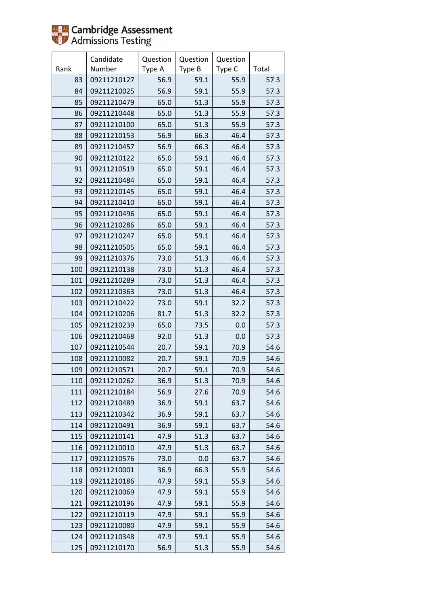

|      | Candidate   | Question | Question | Question |       |
|------|-------------|----------|----------|----------|-------|
| Rank | Number      | Type A   | Type B   | Type C   | Total |
| 83   | 09211210127 | 56.9     | 59.1     | 55.9     | 57.3  |
| 84   | 09211210025 | 56.9     | 59.1     | 55.9     | 57.3  |
| 85   | 09211210479 | 65.0     | 51.3     | 55.9     | 57.3  |
| 86   | 09211210448 | 65.0     | 51.3     | 55.9     | 57.3  |
| 87   | 09211210100 | 65.0     | 51.3     | 55.9     | 57.3  |
| 88   | 09211210153 | 56.9     | 66.3     | 46.4     | 57.3  |
| 89   | 09211210457 | 56.9     | 66.3     | 46.4     | 57.3  |
| 90   | 09211210122 | 65.0     | 59.1     | 46.4     | 57.3  |
| 91   | 09211210519 | 65.0     | 59.1     | 46.4     | 57.3  |
| 92   | 09211210484 | 65.0     | 59.1     | 46.4     | 57.3  |
| 93   | 09211210145 | 65.0     | 59.1     | 46.4     | 57.3  |
| 94   | 09211210410 | 65.0     | 59.1     | 46.4     | 57.3  |
| 95   | 09211210496 | 65.0     | 59.1     | 46.4     | 57.3  |
| 96   | 09211210286 | 65.0     | 59.1     | 46.4     | 57.3  |
| 97   | 09211210247 | 65.0     | 59.1     | 46.4     | 57.3  |
| 98   | 09211210505 | 65.0     | 59.1     | 46.4     | 57.3  |
| 99   | 09211210376 | 73.0     | 51.3     | 46.4     | 57.3  |
| 100  | 09211210138 | 73.0     | 51.3     | 46.4     | 57.3  |
| 101  | 09211210289 | 73.0     | 51.3     | 46.4     | 57.3  |
| 102  | 09211210363 | 73.0     | 51.3     | 46.4     | 57.3  |
| 103  | 09211210422 | 73.0     | 59.1     | 32.2     | 57.3  |
| 104  | 09211210206 | 81.7     | 51.3     | 32.2     | 57.3  |
| 105  | 09211210239 | 65.0     | 73.5     | 0.0      | 57.3  |
| 106  | 09211210468 | 92.0     | 51.3     | 0.0      | 57.3  |
| 107  | 09211210544 | 20.7     | 59.1     | 70.9     | 54.6  |
| 108  | 09211210082 | 20.7     | 59.1     | 70.9     | 54.6  |
| 109  | 09211210571 | 20.7     | 59.1     | 70.9     | 54.6  |
| 110  | 09211210262 | 36.9     | 51.3     | 70.9     | 54.6  |
| 111  | 09211210184 | 56.9     | 27.6     | 70.9     | 54.6  |
| 112  | 09211210489 | 36.9     | 59.1     | 63.7     | 54.6  |
| 113  | 09211210342 | 36.9     | 59.1     | 63.7     | 54.6  |
| 114  | 09211210491 | 36.9     | 59.1     | 63.7     | 54.6  |
| 115  | 09211210141 | 47.9     | 51.3     | 63.7     | 54.6  |
| 116  | 09211210010 | 47.9     | 51.3     | 63.7     | 54.6  |
| 117  | 09211210576 | 73.0     | 0.0      | 63.7     | 54.6  |
| 118  | 09211210001 | 36.9     | 66.3     | 55.9     | 54.6  |
| 119  | 09211210186 | 47.9     | 59.1     | 55.9     | 54.6  |
| 120  | 09211210069 | 47.9     | 59.1     | 55.9     | 54.6  |
| 121  | 09211210196 | 47.9     | 59.1     | 55.9     | 54.6  |
| 122  | 09211210119 | 47.9     | 59.1     | 55.9     | 54.6  |
| 123  | 09211210080 | 47.9     | 59.1     | 55.9     | 54.6  |
| 124  | 09211210348 | 47.9     | 59.1     | 55.9     | 54.6  |
| 125  | 09211210170 | 56.9     | 51.3     | 55.9     | 54.6  |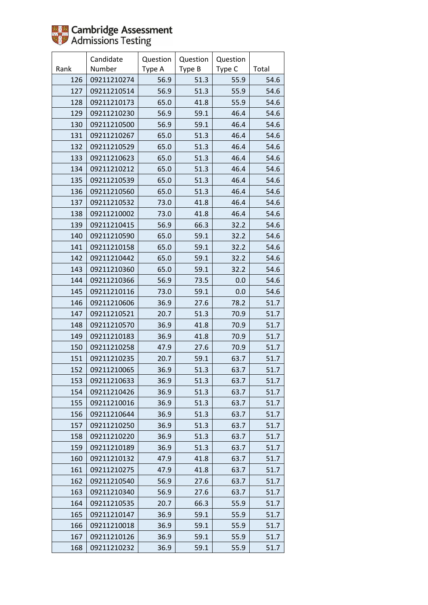

|      | Candidate   | Question | Question | Question |       |
|------|-------------|----------|----------|----------|-------|
| Rank | Number      | Type A   | Type B   | Type C   | Total |
| 126  | 09211210274 | 56.9     | 51.3     | 55.9     | 54.6  |
| 127  | 09211210514 | 56.9     | 51.3     | 55.9     | 54.6  |
| 128  | 09211210173 | 65.0     | 41.8     | 55.9     | 54.6  |
| 129  | 09211210230 | 56.9     | 59.1     | 46.4     | 54.6  |
| 130  | 09211210500 | 56.9     | 59.1     | 46.4     | 54.6  |
| 131  | 09211210267 | 65.0     | 51.3     | 46.4     | 54.6  |
| 132  | 09211210529 | 65.0     | 51.3     | 46.4     | 54.6  |
| 133  | 09211210623 | 65.0     | 51.3     | 46.4     | 54.6  |
| 134  | 09211210212 | 65.0     | 51.3     | 46.4     | 54.6  |
| 135  | 09211210539 | 65.0     | 51.3     | 46.4     | 54.6  |
| 136  | 09211210560 | 65.0     | 51.3     | 46.4     | 54.6  |
| 137  | 09211210532 | 73.0     | 41.8     | 46.4     | 54.6  |
| 138  | 09211210002 | 73.0     | 41.8     | 46.4     | 54.6  |
| 139  | 09211210415 | 56.9     | 66.3     | 32.2     | 54.6  |
| 140  | 09211210590 | 65.0     | 59.1     | 32.2     | 54.6  |
| 141  | 09211210158 | 65.0     | 59.1     | 32.2     | 54.6  |
| 142  | 09211210442 | 65.0     | 59.1     | 32.2     | 54.6  |
| 143  | 09211210360 | 65.0     | 59.1     | 32.2     | 54.6  |
| 144  | 09211210366 | 56.9     | 73.5     | 0.0      | 54.6  |
| 145  | 09211210116 | 73.0     | 59.1     | 0.0      | 54.6  |
| 146  | 09211210606 | 36.9     | 27.6     | 78.2     | 51.7  |
| 147  | 09211210521 | 20.7     | 51.3     | 70.9     | 51.7  |
| 148  | 09211210570 | 36.9     | 41.8     | 70.9     | 51.7  |
| 149  | 09211210183 | 36.9     | 41.8     | 70.9     | 51.7  |
| 150  | 09211210258 | 47.9     | 27.6     | 70.9     | 51.7  |
| 151  | 09211210235 | 20.7     | 59.1     | 63.7     | 51.7  |
| 152  | 09211210065 | 36.9     | 51.3     | 63.7     | 51.7  |
| 153  | 09211210633 | 36.9     | 51.3     | 63.7     | 51.7  |
| 154  | 09211210426 | 36.9     | 51.3     | 63.7     | 51.7  |
| 155  | 09211210016 | 36.9     | 51.3     | 63.7     | 51.7  |
| 156  | 09211210644 | 36.9     | 51.3     | 63.7     | 51.7  |
| 157  | 09211210250 | 36.9     | 51.3     | 63.7     | 51.7  |
| 158  | 09211210220 | 36.9     | 51.3     | 63.7     | 51.7  |
| 159  | 09211210189 | 36.9     | 51.3     | 63.7     | 51.7  |
| 160  | 09211210132 | 47.9     | 41.8     | 63.7     | 51.7  |
| 161  | 09211210275 | 47.9     | 41.8     | 63.7     | 51.7  |
| 162  | 09211210540 | 56.9     | 27.6     | 63.7     | 51.7  |
| 163  | 09211210340 | 56.9     | 27.6     | 63.7     | 51.7  |
| 164  | 09211210535 | 20.7     | 66.3     | 55.9     | 51.7  |
| 165  | 09211210147 | 36.9     | 59.1     | 55.9     | 51.7  |
| 166  | 09211210018 | 36.9     | 59.1     | 55.9     | 51.7  |
| 167  | 09211210126 | 36.9     | 59.1     | 55.9     | 51.7  |
| 168  | 09211210232 | 36.9     | 59.1     | 55.9     | 51.7  |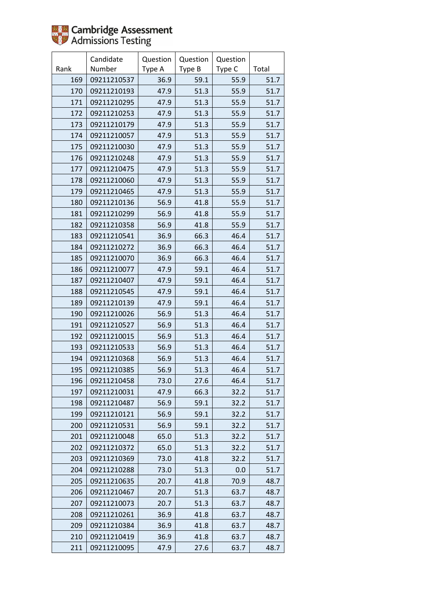

|      | Candidate   | Question | Question | Question |       |
|------|-------------|----------|----------|----------|-------|
| Rank | Number      | Type A   | Type B   | Type C   | Total |
| 169  | 09211210537 | 36.9     | 59.1     | 55.9     | 51.7  |
| 170  | 09211210193 | 47.9     | 51.3     | 55.9     | 51.7  |
| 171  | 09211210295 | 47.9     | 51.3     | 55.9     | 51.7  |
| 172  | 09211210253 | 47.9     | 51.3     | 55.9     | 51.7  |
| 173  | 09211210179 | 47.9     | 51.3     | 55.9     | 51.7  |
| 174  | 09211210057 | 47.9     | 51.3     | 55.9     | 51.7  |
| 175  | 09211210030 | 47.9     | 51.3     | 55.9     | 51.7  |
| 176  | 09211210248 | 47.9     | 51.3     | 55.9     | 51.7  |
| 177  | 09211210475 | 47.9     | 51.3     | 55.9     | 51.7  |
| 178  | 09211210060 | 47.9     | 51.3     | 55.9     | 51.7  |
| 179  | 09211210465 | 47.9     | 51.3     | 55.9     | 51.7  |
| 180  | 09211210136 | 56.9     | 41.8     | 55.9     | 51.7  |
| 181  | 09211210299 | 56.9     | 41.8     | 55.9     | 51.7  |
| 182  | 09211210358 | 56.9     | 41.8     | 55.9     | 51.7  |
| 183  | 09211210541 | 36.9     | 66.3     | 46.4     | 51.7  |
| 184  | 09211210272 | 36.9     | 66.3     | 46.4     | 51.7  |
| 185  | 09211210070 | 36.9     | 66.3     | 46.4     | 51.7  |
| 186  | 09211210077 | 47.9     | 59.1     | 46.4     | 51.7  |
| 187  | 09211210407 | 47.9     | 59.1     | 46.4     | 51.7  |
| 188  | 09211210545 | 47.9     | 59.1     | 46.4     | 51.7  |
| 189  | 09211210139 | 47.9     | 59.1     | 46.4     | 51.7  |
| 190  | 09211210026 | 56.9     | 51.3     | 46.4     | 51.7  |
| 191  | 09211210527 | 56.9     | 51.3     | 46.4     | 51.7  |
| 192  | 09211210015 | 56.9     | 51.3     | 46.4     | 51.7  |
| 193  | 09211210533 | 56.9     | 51.3     | 46.4     | 51.7  |
| 194  | 09211210368 | 56.9     | 51.3     | 46.4     | 51.7  |
| 195  | 09211210385 | 56.9     | 51.3     | 46.4     | 51.7  |
| 196  | 09211210458 | 73.0     | 27.6     | 46.4     | 51.7  |
| 197  | 09211210031 | 47.9     | 66.3     | 32.2     | 51.7  |
| 198  | 09211210487 | 56.9     | 59.1     | 32.2     | 51.7  |
| 199  | 09211210121 | 56.9     | 59.1     | 32.2     | 51.7  |
| 200  | 09211210531 | 56.9     | 59.1     | 32.2     | 51.7  |
| 201  | 09211210048 | 65.0     | 51.3     | 32.2     | 51.7  |
| 202  | 09211210372 | 65.0     | 51.3     | 32.2     | 51.7  |
| 203  | 09211210369 | 73.0     | 41.8     | 32.2     | 51.7  |
| 204  | 09211210288 | 73.0     | 51.3     | 0.0      | 51.7  |
| 205  | 09211210635 | 20.7     | 41.8     | 70.9     | 48.7  |
| 206  | 09211210467 | 20.7     | 51.3     | 63.7     | 48.7  |
| 207  | 09211210073 | 20.7     | 51.3     | 63.7     | 48.7  |
| 208  | 09211210261 | 36.9     | 41.8     | 63.7     | 48.7  |
| 209  | 09211210384 | 36.9     | 41.8     | 63.7     | 48.7  |
| 210  | 09211210419 | 36.9     | 41.8     | 63.7     | 48.7  |
| 211  | 09211210095 | 47.9     | 27.6     | 63.7     | 48.7  |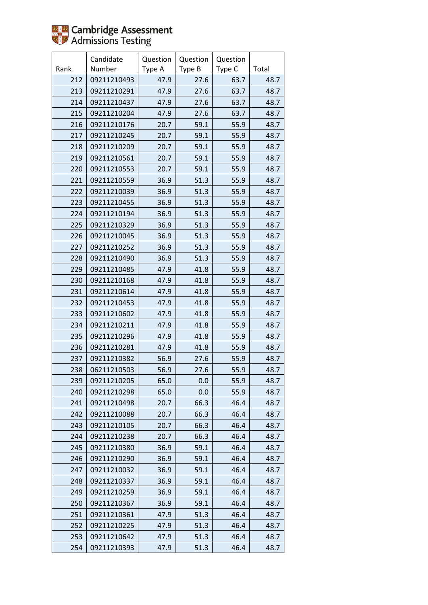

|      | Candidate   | Question | Question | Question |       |
|------|-------------|----------|----------|----------|-------|
| Rank | Number      | Type A   | Type B   | Type C   | Total |
| 212  | 09211210493 | 47.9     | 27.6     | 63.7     | 48.7  |
| 213  | 09211210291 | 47.9     | 27.6     | 63.7     | 48.7  |
| 214  | 09211210437 | 47.9     | 27.6     | 63.7     | 48.7  |
| 215  | 09211210204 | 47.9     | 27.6     | 63.7     | 48.7  |
| 216  | 09211210176 | 20.7     | 59.1     | 55.9     | 48.7  |
| 217  | 09211210245 | 20.7     | 59.1     | 55.9     | 48.7  |
| 218  | 09211210209 | 20.7     | 59.1     | 55.9     | 48.7  |
| 219  | 09211210561 | 20.7     | 59.1     | 55.9     | 48.7  |
| 220  | 09211210553 | 20.7     | 59.1     | 55.9     | 48.7  |
| 221  | 09211210559 | 36.9     | 51.3     | 55.9     | 48.7  |
| 222  | 09211210039 | 36.9     | 51.3     | 55.9     | 48.7  |
| 223  | 09211210455 | 36.9     | 51.3     | 55.9     | 48.7  |
| 224  | 09211210194 | 36.9     | 51.3     | 55.9     | 48.7  |
| 225  | 09211210329 | 36.9     | 51.3     | 55.9     | 48.7  |
| 226  | 09211210045 | 36.9     | 51.3     | 55.9     | 48.7  |
| 227  | 09211210252 | 36.9     | 51.3     | 55.9     | 48.7  |
| 228  | 09211210490 | 36.9     | 51.3     | 55.9     | 48.7  |
| 229  | 09211210485 | 47.9     | 41.8     | 55.9     | 48.7  |
| 230  | 09211210168 | 47.9     | 41.8     | 55.9     | 48.7  |
| 231  | 09211210614 | 47.9     | 41.8     | 55.9     | 48.7  |
| 232  | 09211210453 | 47.9     | 41.8     | 55.9     | 48.7  |
| 233  | 09211210602 | 47.9     | 41.8     | 55.9     | 48.7  |
| 234  | 09211210211 | 47.9     | 41.8     | 55.9     | 48.7  |
| 235  | 09211210296 | 47.9     | 41.8     | 55.9     | 48.7  |
| 236  | 09211210281 | 47.9     | 41.8     | 55.9     | 48.7  |
| 237  | 09211210382 | 56.9     | 27.6     | 55.9     | 48.7  |
| 238  | 06211210503 | 56.9     | 27.6     | 55.9     | 48.7  |
| 239  | 09211210205 | 65.0     | 0.0      | 55.9     | 48.7  |
| 240  | 09211210298 | 65.0     | 0.0      | 55.9     | 48.7  |
| 241  | 09211210498 | 20.7     | 66.3     | 46.4     | 48.7  |
| 242  | 09211210088 | 20.7     | 66.3     | 46.4     | 48.7  |
| 243  | 09211210105 | 20.7     | 66.3     | 46.4     | 48.7  |
| 244  | 09211210238 | 20.7     | 66.3     | 46.4     | 48.7  |
| 245  | 09211210380 | 36.9     | 59.1     | 46.4     | 48.7  |
| 246  | 09211210290 | 36.9     | 59.1     | 46.4     | 48.7  |
| 247  | 09211210032 | 36.9     | 59.1     | 46.4     | 48.7  |
| 248  | 09211210337 | 36.9     | 59.1     | 46.4     | 48.7  |
| 249  | 09211210259 | 36.9     | 59.1     | 46.4     | 48.7  |
| 250  | 09211210367 | 36.9     | 59.1     | 46.4     | 48.7  |
| 251  | 09211210361 | 47.9     | 51.3     | 46.4     | 48.7  |
| 252  | 09211210225 | 47.9     | 51.3     | 46.4     | 48.7  |
| 253  | 09211210642 | 47.9     | 51.3     | 46.4     | 48.7  |
| 254  | 09211210393 | 47.9     | 51.3     | 46.4     | 48.7  |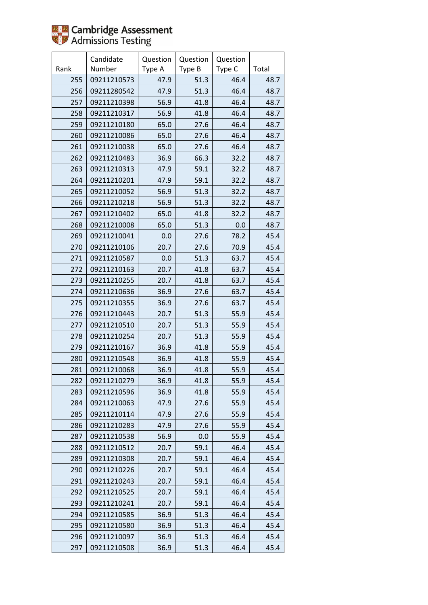

|      | Candidate   | Question | Question | Question |       |
|------|-------------|----------|----------|----------|-------|
| Rank | Number      | Type A   | Type B   | Type C   | Total |
| 255  | 09211210573 | 47.9     | 51.3     | 46.4     | 48.7  |
| 256  | 09211280542 | 47.9     | 51.3     | 46.4     | 48.7  |
| 257  | 09211210398 | 56.9     | 41.8     | 46.4     | 48.7  |
| 258  | 09211210317 | 56.9     | 41.8     | 46.4     | 48.7  |
| 259  | 09211210180 | 65.0     | 27.6     | 46.4     | 48.7  |
| 260  | 09211210086 | 65.0     | 27.6     | 46.4     | 48.7  |
| 261  | 09211210038 | 65.0     | 27.6     | 46.4     | 48.7  |
| 262  | 09211210483 | 36.9     | 66.3     | 32.2     | 48.7  |
| 263  | 09211210313 | 47.9     | 59.1     | 32.2     | 48.7  |
| 264  | 09211210201 | 47.9     | 59.1     | 32.2     | 48.7  |
| 265  | 09211210052 | 56.9     | 51.3     | 32.2     | 48.7  |
| 266  | 09211210218 | 56.9     | 51.3     | 32.2     | 48.7  |
| 267  | 09211210402 | 65.0     | 41.8     | 32.2     | 48.7  |
| 268  | 09211210008 | 65.0     | 51.3     | 0.0      | 48.7  |
| 269  | 09211210041 | 0.0      | 27.6     | 78.2     | 45.4  |
| 270  | 09211210106 | 20.7     | 27.6     | 70.9     | 45.4  |
| 271  | 09211210587 | 0.0      | 51.3     | 63.7     | 45.4  |
| 272  | 09211210163 | 20.7     | 41.8     | 63.7     | 45.4  |
| 273  | 09211210255 | 20.7     | 41.8     | 63.7     | 45.4  |
| 274  | 09211210636 | 36.9     | 27.6     | 63.7     | 45.4  |
| 275  | 09211210355 | 36.9     | 27.6     | 63.7     | 45.4  |
| 276  | 09211210443 | 20.7     | 51.3     | 55.9     | 45.4  |
| 277  | 09211210510 | 20.7     | 51.3     | 55.9     | 45.4  |
| 278  | 09211210254 | 20.7     | 51.3     | 55.9     | 45.4  |
| 279  | 09211210167 | 36.9     | 41.8     | 55.9     | 45.4  |
| 280  | 09211210548 | 36.9     | 41.8     | 55.9     | 45.4  |
| 281  | 09211210068 | 36.9     | 41.8     | 55.9     | 45.4  |
| 282  | 09211210279 | 36.9     | 41.8     | 55.9     | 45.4  |
| 283  | 09211210596 | 36.9     | 41.8     | 55.9     | 45.4  |
| 284  | 09211210063 | 47.9     | 27.6     | 55.9     | 45.4  |
| 285  | 09211210114 | 47.9     | 27.6     | 55.9     | 45.4  |
| 286  | 09211210283 | 47.9     | 27.6     | 55.9     | 45.4  |
| 287  | 09211210538 | 56.9     | 0.0      | 55.9     | 45.4  |
| 288  | 09211210512 | 20.7     | 59.1     | 46.4     | 45.4  |
| 289  | 09211210308 | 20.7     | 59.1     | 46.4     | 45.4  |
| 290  | 09211210226 | 20.7     | 59.1     | 46.4     | 45.4  |
| 291  | 09211210243 | 20.7     | 59.1     | 46.4     | 45.4  |
| 292  | 09211210525 | 20.7     | 59.1     | 46.4     | 45.4  |
| 293  | 09211210241 | 20.7     | 59.1     | 46.4     | 45.4  |
| 294  | 09211210585 | 36.9     | 51.3     | 46.4     | 45.4  |
| 295  | 09211210580 | 36.9     | 51.3     | 46.4     | 45.4  |
| 296  | 09211210097 | 36.9     | 51.3     | 46.4     | 45.4  |
| 297  | 09211210508 | 36.9     | 51.3     | 46.4     | 45.4  |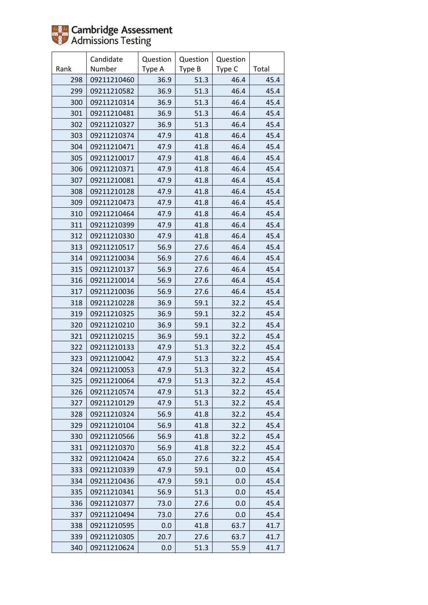

|      | Candidate   | Question | Question | Question |       |
|------|-------------|----------|----------|----------|-------|
| Rank | Number      | Type A   | Type B   | Type C   | Total |
| 298  | 09211210460 | 36.9     | 51.3     | 46.4     | 45.4  |
| 299  | 09211210582 | 36.9     | 51.3     | 46.4     | 45.4  |
| 300  | 09211210314 | 36.9     | 51.3     | 46.4     | 45.4  |
| 301  | 09211210481 | 36.9     | 51.3     | 46.4     | 45.4  |
| 302  | 09211210327 | 36.9     | 51.3     | 46.4     | 45.4  |
| 303  | 09211210374 | 47.9     | 41.8     | 46.4     | 45.4  |
| 304  | 09211210471 | 47.9     | 41.8     | 46.4     | 45.4  |
| 305  | 09211210017 | 47.9     | 41.8     | 46.4     | 45.4  |
| 306  | 09211210371 | 47.9     | 41.8     | 46.4     | 45.4  |
| 307  | 09211210081 | 47.9     | 41.8     | 46.4     | 45.4  |
| 308  | 09211210128 | 47.9     | 41.8     | 46.4     | 45.4  |
| 309  | 09211210473 | 47.9     | 41.8     | 46.4     | 45.4  |
| 310  | 09211210464 | 47.9     | 41.8     | 46.4     | 45.4  |
| 311  | 09211210399 | 47.9     | 41.8     | 46.4     | 45.4  |
| 312  | 09211210330 | 47.9     | 41.8     | 46.4     | 45.4  |
| 313  | 09211210517 | 56.9     | 27.6     | 46.4     | 45.4  |
| 314  | 09211210034 | 56.9     | 27.6     | 46.4     | 45.4  |
| 315  | 09211210137 | 56.9     | 27.6     | 46.4     | 45.4  |
| 316  | 09211210014 | 56.9     | 27.6     | 46.4     | 45.4  |
| 317  | 09211210036 | 56.9     | 27.6     | 46.4     | 45.4  |
| 318  | 09211210228 | 36.9     | 59.1     | 32.2     | 45.4  |
| 319  | 09211210325 | 36.9     | 59.1     | 32.2     | 45.4  |
| 320  | 09211210210 | 36.9     | 59.1     | 32.2     | 45.4  |
| 321  | 09211210215 | 36.9     | 59.1     | 32.2     | 45.4  |
| 322  | 09211210133 | 47.9     | 51.3     | 32.2     | 45.4  |
| 323  | 09211210042 | 47.9     | 51.3     | 32.2     | 45.4  |
| 324  | 09211210053 | 47.9     | 51.3     | 32.2     | 45.4  |
| 325  | 09211210064 | 47.9     | 51.3     | 32.2     | 45.4  |
| 326  | 09211210574 | 47.9     | 51.3     | 32.2     | 45.4  |
| 327  | 09211210129 | 47.9     | 51.3     | 32.2     | 45.4  |
| 328  | 09211210324 | 56.9     | 41.8     | 32.2     | 45.4  |
| 329  | 09211210104 | 56.9     | 41.8     | 32.2     | 45.4  |
| 330  | 09211210566 | 56.9     | 41.8     | 32.2     | 45.4  |
| 331  | 09211210370 | 56.9     | 41.8     | 32.2     | 45.4  |
| 332  | 09211210424 | 65.0     | 27.6     | 32.2     | 45.4  |
| 333  | 09211210339 | 47.9     | 59.1     | 0.0      | 45.4  |
| 334  | 09211210436 | 47.9     | 59.1     | 0.0      | 45.4  |
| 335  | 09211210341 | 56.9     | 51.3     | 0.0      | 45.4  |
| 336  | 09211210377 | 73.0     | 27.6     | 0.0      | 45.4  |
| 337  | 09211210494 | 73.0     | 27.6     | 0.0      | 45.4  |
| 338  | 09211210595 | 0.0      | 41.8     | 63.7     | 41.7  |
| 339  | 09211210305 | 20.7     | 27.6     | 63.7     | 41.7  |
| 340  | 09211210624 | 0.0      | 51.3     | 55.9     | 41.7  |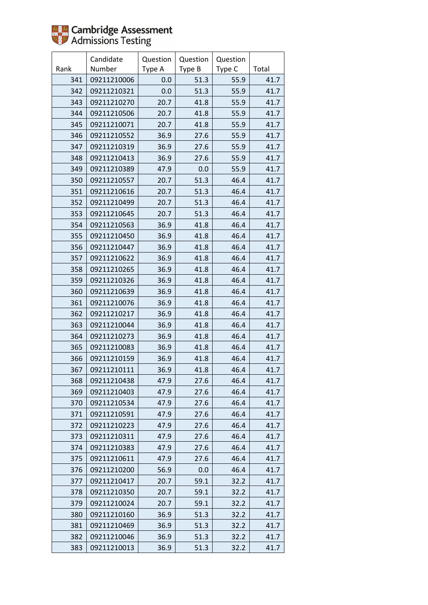

|      | Candidate   | Question | Question | Question |       |
|------|-------------|----------|----------|----------|-------|
| Rank | Number      | Type A   | Type B   | Type C   | Total |
| 341  | 09211210006 | 0.0      | 51.3     | 55.9     | 41.7  |
| 342  | 09211210321 | 0.0      | 51.3     | 55.9     | 41.7  |
| 343  | 09211210270 | 20.7     | 41.8     | 55.9     | 41.7  |
| 344  | 09211210506 | 20.7     | 41.8     | 55.9     | 41.7  |
| 345  | 09211210071 | 20.7     | 41.8     | 55.9     | 41.7  |
| 346  | 09211210552 | 36.9     | 27.6     | 55.9     | 41.7  |
| 347  | 09211210319 | 36.9     | 27.6     | 55.9     | 41.7  |
| 348  | 09211210413 | 36.9     | 27.6     | 55.9     | 41.7  |
| 349  | 09211210389 | 47.9     | 0.0      | 55.9     | 41.7  |
| 350  | 09211210557 | 20.7     | 51.3     | 46.4     | 41.7  |
| 351  | 09211210616 | 20.7     | 51.3     | 46.4     | 41.7  |
| 352  | 09211210499 | 20.7     | 51.3     | 46.4     | 41.7  |
| 353  | 09211210645 | 20.7     | 51.3     | 46.4     | 41.7  |
| 354  | 09211210563 | 36.9     | 41.8     | 46.4     | 41.7  |
| 355  | 09211210450 | 36.9     | 41.8     | 46.4     | 41.7  |
| 356  | 09211210447 | 36.9     | 41.8     | 46.4     | 41.7  |
| 357  | 09211210622 | 36.9     | 41.8     | 46.4     | 41.7  |
| 358  | 09211210265 | 36.9     | 41.8     | 46.4     | 41.7  |
| 359  | 09211210326 | 36.9     | 41.8     | 46.4     | 41.7  |
| 360  | 09211210639 | 36.9     | 41.8     | 46.4     | 41.7  |
| 361  | 09211210076 | 36.9     | 41.8     | 46.4     | 41.7  |
| 362  | 09211210217 | 36.9     | 41.8     | 46.4     | 41.7  |
| 363  | 09211210044 | 36.9     | 41.8     | 46.4     | 41.7  |
| 364  | 09211210273 | 36.9     | 41.8     | 46.4     | 41.7  |
| 365  | 09211210083 | 36.9     | 41.8     | 46.4     | 41.7  |
| 366  | 09211210159 | 36.9     | 41.8     | 46.4     | 41.7  |
| 367  | 09211210111 | 36.9     | 41.8     | 46.4     | 41.7  |
| 368  | 09211210438 | 47.9     | 27.6     | 46.4     | 41.7  |
| 369  | 09211210403 | 47.9     | 27.6     | 46.4     | 41.7  |
| 370  | 09211210534 | 47.9     | 27.6     | 46.4     | 41.7  |
| 371  | 09211210591 | 47.9     | 27.6     | 46.4     | 41.7  |
| 372  | 09211210223 | 47.9     | 27.6     | 46.4     | 41.7  |
| 373  | 09211210311 | 47.9     | 27.6     | 46.4     | 41.7  |
| 374  | 09211210383 | 47.9     | 27.6     | 46.4     | 41.7  |
| 375  | 09211210611 | 47.9     | 27.6     | 46.4     | 41.7  |
| 376  | 09211210200 | 56.9     | 0.0      | 46.4     | 41.7  |
| 377  | 09211210417 | 20.7     | 59.1     | 32.2     | 41.7  |
| 378  | 09211210350 | 20.7     | 59.1     | 32.2     | 41.7  |
| 379  | 09211210024 | 20.7     | 59.1     | 32.2     | 41.7  |
| 380  | 09211210160 | 36.9     | 51.3     | 32.2     | 41.7  |
| 381  | 09211210469 | 36.9     | 51.3     | 32.2     | 41.7  |
| 382  | 09211210046 | 36.9     | 51.3     | 32.2     | 41.7  |
| 383  | 09211210013 | 36.9     | 51.3     | 32.2     | 41.7  |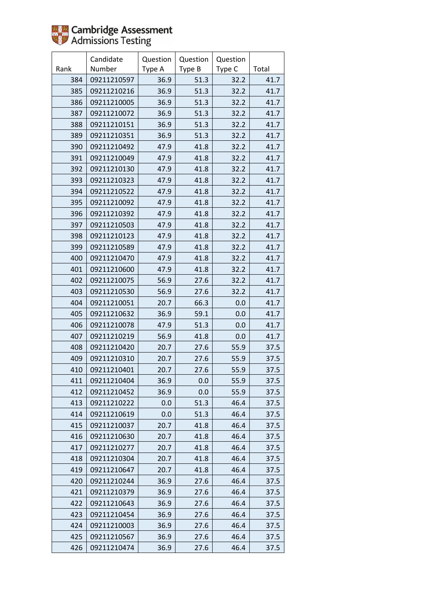

|      | Candidate   | Question | Question | Question |       |
|------|-------------|----------|----------|----------|-------|
| Rank | Number      | Type A   | Type B   | Type C   | Total |
| 384  | 09211210597 | 36.9     | 51.3     | 32.2     | 41.7  |
| 385  | 09211210216 | 36.9     | 51.3     | 32.2     | 41.7  |
| 386  | 09211210005 | 36.9     | 51.3     | 32.2     | 41.7  |
| 387  | 09211210072 | 36.9     | 51.3     | 32.2     | 41.7  |
| 388  | 09211210151 | 36.9     | 51.3     | 32.2     | 41.7  |
| 389  | 09211210351 | 36.9     | 51.3     | 32.2     | 41.7  |
| 390  | 09211210492 | 47.9     | 41.8     | 32.2     | 41.7  |
| 391  | 09211210049 | 47.9     | 41.8     | 32.2     | 41.7  |
| 392  | 09211210130 | 47.9     | 41.8     | 32.2     | 41.7  |
| 393  | 09211210323 | 47.9     | 41.8     | 32.2     | 41.7  |
| 394  | 09211210522 | 47.9     | 41.8     | 32.2     | 41.7  |
| 395  | 09211210092 | 47.9     | 41.8     | 32.2     | 41.7  |
| 396  | 09211210392 | 47.9     | 41.8     | 32.2     | 41.7  |
| 397  | 09211210503 | 47.9     | 41.8     | 32.2     | 41.7  |
| 398  | 09211210123 | 47.9     | 41.8     | 32.2     | 41.7  |
| 399  | 09211210589 | 47.9     | 41.8     | 32.2     | 41.7  |
| 400  | 09211210470 | 47.9     | 41.8     | 32.2     | 41.7  |
| 401  | 09211210600 | 47.9     | 41.8     | 32.2     | 41.7  |
| 402  | 09211210075 | 56.9     | 27.6     | 32.2     | 41.7  |
| 403  | 09211210530 | 56.9     | 27.6     | 32.2     | 41.7  |
| 404  | 09211210051 | 20.7     | 66.3     | 0.0      | 41.7  |
| 405  | 09211210632 | 36.9     | 59.1     | 0.0      | 41.7  |
| 406  | 09211210078 | 47.9     | 51.3     | 0.0      | 41.7  |
| 407  | 09211210219 | 56.9     | 41.8     | 0.0      | 41.7  |
| 408  | 09211210420 | 20.7     | 27.6     | 55.9     | 37.5  |
| 409  | 09211210310 | 20.7     | 27.6     | 55.9     | 37.5  |
| 410  | 09211210401 | 20.7     | 27.6     | 55.9     | 37.5  |
| 411  | 09211210404 | 36.9     | 0.0      | 55.9     | 37.5  |
| 412  | 09211210452 | 36.9     | 0.0      | 55.9     | 37.5  |
| 413  | 09211210222 | 0.0      | 51.3     | 46.4     | 37.5  |
| 414  | 09211210619 | 0.0      | 51.3     | 46.4     | 37.5  |
| 415  | 09211210037 | 20.7     | 41.8     | 46.4     | 37.5  |
| 416  | 09211210630 | 20.7     | 41.8     | 46.4     | 37.5  |
| 417  | 09211210277 | 20.7     | 41.8     | 46.4     | 37.5  |
| 418  | 09211210304 | 20.7     | 41.8     | 46.4     | 37.5  |
| 419  | 09211210647 | 20.7     | 41.8     | 46.4     | 37.5  |
| 420  | 09211210244 | 36.9     | 27.6     | 46.4     | 37.5  |
| 421  | 09211210379 | 36.9     | 27.6     | 46.4     | 37.5  |
| 422  | 09211210643 | 36.9     | 27.6     | 46.4     | 37.5  |
| 423  | 09211210454 | 36.9     | 27.6     | 46.4     | 37.5  |
| 424  | 09211210003 | 36.9     | 27.6     | 46.4     | 37.5  |
| 425  | 09211210567 | 36.9     | 27.6     | 46.4     | 37.5  |
| 426  | 09211210474 | 36.9     | 27.6     | 46.4     | 37.5  |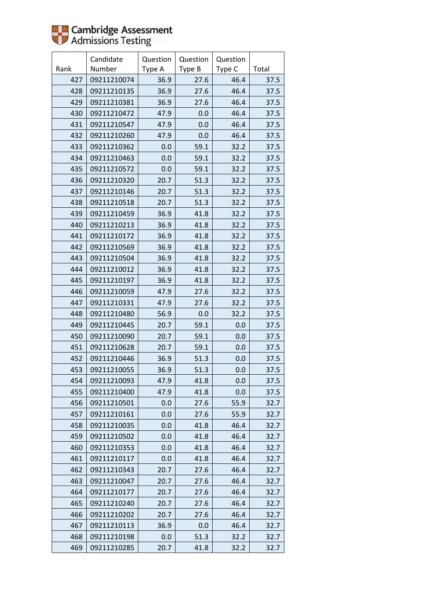

|      | Candidate   | Question | Question | Question |       |
|------|-------------|----------|----------|----------|-------|
| Rank | Number      | Type A   | Type B   | Type C   | Total |
| 427  | 09211210074 | 36.9     | 27.6     | 46.4     | 37.5  |
| 428  | 09211210135 | 36.9     | 27.6     | 46.4     | 37.5  |
| 429  | 09211210381 | 36.9     | 27.6     | 46.4     | 37.5  |
| 430  | 09211210472 | 47.9     | 0.0      | 46.4     | 37.5  |
| 431  | 09211210547 | 47.9     | 0.0      | 46.4     | 37.5  |
| 432  | 09211210260 | 47.9     | 0.0      | 46.4     | 37.5  |
| 433  | 09211210362 | 0.0      | 59.1     | 32.2     | 37.5  |
| 434  | 09211210463 | 0.0      | 59.1     | 32.2     | 37.5  |
| 435  | 09211210572 | 0.0      | 59.1     | 32.2     | 37.5  |
| 436  | 09211210320 | 20.7     | 51.3     | 32.2     | 37.5  |
| 437  | 09211210146 | 20.7     | 51.3     | 32.2     | 37.5  |
| 438  | 09211210518 | 20.7     | 51.3     | 32.2     | 37.5  |
| 439  | 09211210459 | 36.9     | 41.8     | 32.2     | 37.5  |
| 440  | 09211210213 | 36.9     | 41.8     | 32.2     | 37.5  |
| 441  | 09211210172 | 36.9     | 41.8     | 32.2     | 37.5  |
| 442  | 09211210569 | 36.9     | 41.8     | 32.2     | 37.5  |
| 443  | 09211210504 | 36.9     | 41.8     | 32.2     | 37.5  |
| 444  | 09211210012 | 36.9     | 41.8     | 32.2     | 37.5  |
| 445  | 09211210197 | 36.9     | 41.8     | 32.2     | 37.5  |
| 446  | 09211210059 | 47.9     | 27.6     | 32.2     | 37.5  |
| 447  | 09211210331 | 47.9     | 27.6     | 32.2     | 37.5  |
| 448  | 09211210480 | 56.9     | 0.0      | 32.2     | 37.5  |
| 449  | 09211210445 | 20.7     | 59.1     | 0.0      | 37.5  |
| 450  | 09211210090 | 20.7     | 59.1     | 0.0      | 37.5  |
| 451  | 09211210628 | 20.7     | 59.1     | 0.0      | 37.5  |
| 452  | 09211210446 | 36.9     | 51.3     | 0.0      | 37.5  |
| 453  | 09211210055 | 36.9     | 51.3     | 0.0      | 37.5  |
| 454  | 09211210093 | 47.9     | 41.8     | 0.0      | 37.5  |
| 455  | 09211210400 | 47.9     | 41.8     | 0.0      | 37.5  |
| 456  | 09211210501 | 0.0      | 27.6     | 55.9     | 32.7  |
| 457  | 09211210161 | 0.0      | 27.6     | 55.9     | 32.7  |
| 458  | 09211210035 | 0.0      | 41.8     | 46.4     | 32.7  |
| 459  | 09211210502 | 0.0      | 41.8     | 46.4     | 32.7  |
| 460  | 09211210353 | 0.0      | 41.8     | 46.4     | 32.7  |
| 461  | 09211210117 | 0.0      | 41.8     | 46.4     | 32.7  |
| 462  | 09211210343 | 20.7     | 27.6     | 46.4     | 32.7  |
| 463  | 09211210047 | 20.7     | 27.6     | 46.4     | 32.7  |
| 464  | 09211210177 | 20.7     | 27.6     | 46.4     | 32.7  |
| 465  | 09211210240 | 20.7     | 27.6     | 46.4     | 32.7  |
| 466  | 09211210202 | 20.7     | 27.6     | 46.4     | 32.7  |
| 467  | 09211210113 | 36.9     | 0.0      | 46.4     | 32.7  |
| 468  | 09211210198 | 0.0      | 51.3     | 32.2     | 32.7  |
| 469  | 09211210285 | 20.7     | 41.8     | 32.2     | 32.7  |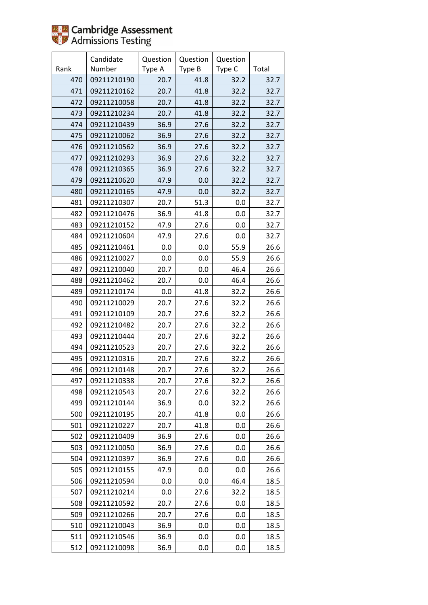

|      | Candidate   | Question | Question | Question |       |
|------|-------------|----------|----------|----------|-------|
| Rank | Number      | Type A   | Type B   | Type C   | Total |
| 470  | 09211210190 | 20.7     | 41.8     | 32.2     | 32.7  |
| 471  | 09211210162 | 20.7     | 41.8     | 32.2     | 32.7  |
| 472  | 09211210058 | 20.7     | 41.8     | 32.2     | 32.7  |
| 473  | 09211210234 | 20.7     | 41.8     | 32.2     | 32.7  |
| 474  | 09211210439 | 36.9     | 27.6     | 32.2     | 32.7  |
| 475  | 09211210062 | 36.9     | 27.6     | 32.2     | 32.7  |
| 476  | 09211210562 | 36.9     | 27.6     | 32.2     | 32.7  |
| 477  | 09211210293 | 36.9     | 27.6     | 32.2     | 32.7  |
| 478  | 09211210365 | 36.9     | 27.6     | 32.2     | 32.7  |
| 479  | 09211210620 | 47.9     | 0.0      | 32.2     | 32.7  |
| 480  | 09211210165 | 47.9     | 0.0      | 32.2     | 32.7  |
| 481  | 09211210307 | 20.7     | 51.3     | 0.0      | 32.7  |
| 482  | 09211210476 | 36.9     | 41.8     | 0.0      | 32.7  |
| 483  | 09211210152 | 47.9     | 27.6     | 0.0      | 32.7  |
| 484  | 09211210604 | 47.9     | 27.6     | 0.0      | 32.7  |
| 485  | 09211210461 | 0.0      | 0.0      | 55.9     | 26.6  |
| 486  | 09211210027 | 0.0      | 0.0      | 55.9     | 26.6  |
| 487  | 09211210040 | 20.7     | 0.0      | 46.4     | 26.6  |
| 488  | 09211210462 | 20.7     | 0.0      | 46.4     | 26.6  |
| 489  | 09211210174 | 0.0      | 41.8     | 32.2     | 26.6  |
| 490  | 09211210029 | 20.7     | 27.6     | 32.2     | 26.6  |
| 491  | 09211210109 | 20.7     | 27.6     | 32.2     | 26.6  |
| 492  | 09211210482 | 20.7     | 27.6     | 32.2     | 26.6  |
| 493  | 09211210444 | 20.7     | 27.6     | 32.2     | 26.6  |
| 494  | 09211210523 | 20.7     | 27.6     | 32.2     | 26.6  |
| 495  | 09211210316 | 20.7     | 27.6     | 32.2     | 26.6  |
| 496  | 09211210148 | 20.7     | 27.6     | 32.2     | 26.6  |
| 497  | 09211210338 | 20.7     | 27.6     | 32.2     | 26.6  |
| 498  | 09211210543 | 20.7     | 27.6     | 32.2     | 26.6  |
| 499  | 09211210144 | 36.9     | 0.0      | 32.2     | 26.6  |
| 500  | 09211210195 | 20.7     | 41.8     | 0.0      | 26.6  |
| 501  | 09211210227 | 20.7     | 41.8     | 0.0      | 26.6  |
| 502  | 09211210409 | 36.9     | 27.6     | 0.0      | 26.6  |
| 503  | 09211210050 | 36.9     | 27.6     | 0.0      | 26.6  |
| 504  | 09211210397 | 36.9     | 27.6     | 0.0      | 26.6  |
| 505  | 09211210155 | 47.9     | 0.0      | 0.0      | 26.6  |
| 506  | 09211210594 | 0.0      | 0.0      | 46.4     | 18.5  |
| 507  | 09211210214 | 0.0      | 27.6     | 32.2     | 18.5  |
| 508  | 09211210592 | 20.7     | 27.6     | 0.0      | 18.5  |
| 509  | 09211210266 | 20.7     | 27.6     | 0.0      | 18.5  |
| 510  | 09211210043 | 36.9     | 0.0      | 0.0      | 18.5  |
| 511  | 09211210546 | 36.9     | 0.0      | 0.0      | 18.5  |
| 512  | 09211210098 | 36.9     | 0.0      | 0.0      | 18.5  |